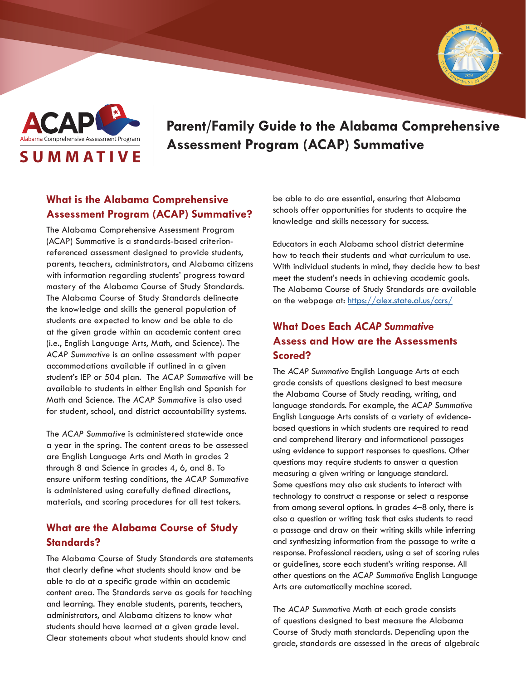



# **Parent/Family Guide to the Alabama Comprehensive**  Alabama Comprehensive Assessment Program | Assessment Program (ACAP) Summative

### **What is the Alabama Comprehensive Assessment Program (ACAP) Summative?**

The Alabama Comprehensive Assessment Program (ACAP) Summative is a standards-based criterionreferenced assessment designed to provide students, parents, teachers, administrators, and Alabama citizens with information regarding students' progress toward mastery of the Alabama Course of Study Standards. The Alabama Course of Study Standards delineate the knowledge and skills the general population of students are expected to know and be able to do at the given grade within an academic content area (i.e., English Language Arts, Math, and Science). The *ACAP Summative* is an online assessment with paper accommodations available if outlined in a given student's IEP or 504 plan. The *ACAP Summative* will be available to students in either English and Spanish for Math and Science. The *ACAP Summative* is also used for student, school, and district accountability systems.

The *ACAP Summative* is administered statewide once a year in the spring. The content areas to be assessed are English Language Arts and Math in grades 2 through 8 and Science in grades 4, 6, and 8. To ensure uniform testing conditions, the *ACAP Summative* is administered using carefully defined directions, materials, and scoring procedures for all test takers.

#### **What are the Alabama Course of Study Standards?**

The Alabama Course of Study Standards are statements that clearly define what students should know and be able to do at a specific grade within an academic content area. The Standards serve as goals for teaching and learning. They enable students, parents, teachers, administrators, and Alabama citizens to know what students should have learned at a given grade level. Clear statements about what students should know and

be able to do are essential, ensuring that Alabama schools offer opportunities for students to acquire the knowledge and skills necessary for success.

Educators in each Alabama school district determine how to teach their students and what curriculum to use. With individual students in mind, they decide how to best meet the student's needs in achieving academic goals. The Alabama Course of Study Standards are available on the webpage at: <https://alex.state.al.us/ccrs/>

## **What Does Each** *ACAP Summative* **Assess and How are the Assessments Scored?**

The *ACAP Summative* English Language Arts at each grade consists of questions designed to best measure the Alabama Course of Study reading, writing, and language standards. For example, the *ACAP Summative* English Language Arts consists of a variety of evidencebased questions in which students are required to read and comprehend literary and informational passages using evidence to support responses to questions. Other questions may require students to answer a question measuring a given writing or language standard. Some questions may also ask students to interact with technology to construct a response or select a response from among several options. In grades 4–8 only, there is also a question or writing task that asks students to read a passage and draw on their writing skills while inferring and synthesizing information from the passage to write a response. Professional readers, using a set of scoring rules or guidelines, score each student's writing response. All other questions on the *ACAP Summative* English Language Arts are automatically machine scored.

The *ACAP Summative* Math at each grade consists of questions designed to best measure the Alabama Course of Study math standards. Depending upon the grade, standards are assessed in the areas of algebraic